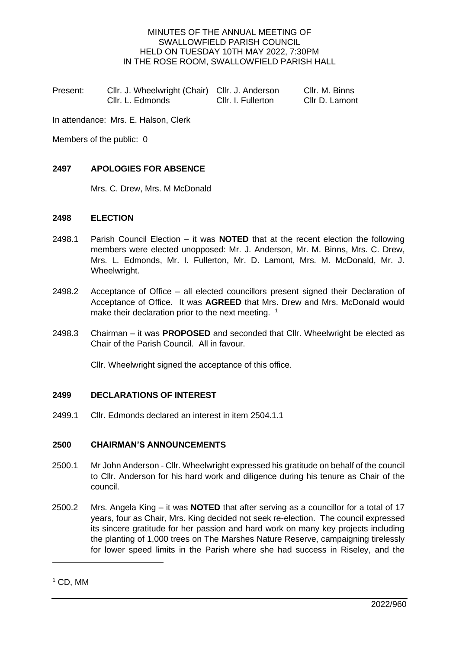### MINUTES OF THE ANNUAL MEETING OF SWALLOWFIELD PARISH COUNCIL HELD ON TUESDAY 10TH MAY 2022, 7:30PM IN THE ROSE ROOM, SWALLOWFIELD PARISH HALL

| Present: | Cllr. J. Wheelwright (Chair) Cllr. J. Anderson |                    | Cllr. M. Binns |
|----------|------------------------------------------------|--------------------|----------------|
|          | Cllr. L. Edmonds                               | Cllr. I. Fullerton | Cllr D. Lamont |

In attendance: Mrs. E. Halson, Clerk

Members of the public: 0

### **2497 APOLOGIES FOR ABSENCE**

Mrs. C. Drew, Mrs. M McDonald

### **2498 ELECTION**

- 2498.1 Parish Council Election it was **NOTED** that at the recent election the following members were elected unopposed: Mr. J. Anderson, Mr. M. Binns, Mrs. C. Drew, Mrs. L. Edmonds, Mr. I. Fullerton, Mr. D. Lamont, Mrs. M. McDonald, Mr. J. Wheelwright.
- 2498.2 Acceptance of Office all elected councillors present signed their Declaration of Acceptance of Office. It was **AGREED** that Mrs. Drew and Mrs. McDonald would make their declaration prior to the next meeting. <sup>1</sup>
- 2498.3 Chairman it was **PROPOSED** and seconded that Cllr. Wheelwright be elected as Chair of the Parish Council. All in favour.

Cllr. Wheelwright signed the acceptance of this office.

## **2499 DECLARATIONS OF INTEREST**

2499.1 Cllr. Edmonds declared an interest in item 2504.1.1

## **2500 CHAIRMAN'S ANNOUNCEMENTS**

- 2500.1 Mr John Anderson Cllr. Wheelwright expressed his gratitude on behalf of the council to Cllr. Anderson for his hard work and diligence during his tenure as Chair of the council.
- 2500.2 Mrs. Angela King it was **NOTED** that after serving as a councillor for a total of 17 years, four as Chair, Mrs. King decided not seek re-election. The council expressed its sincere gratitude for her passion and hard work on many key projects including the planting of 1,000 trees on The Marshes Nature Reserve, campaigning tirelessly for lower speed limits in the Parish where she had success in Riseley, and the

 $1$  CD, MM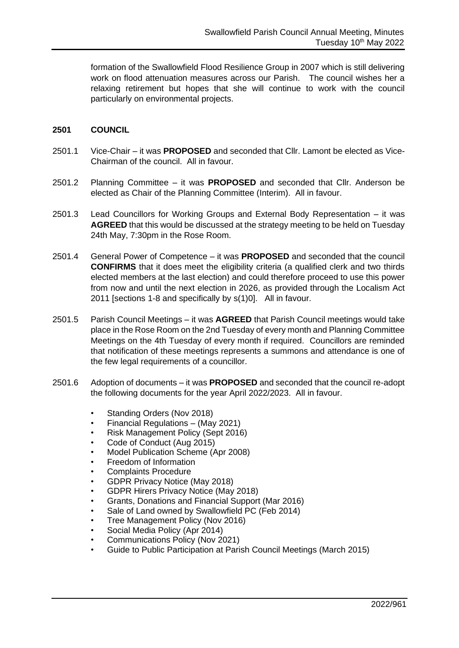formation of the Swallowfield Flood Resilience Group in 2007 which is still delivering work on flood attenuation measures across our Parish. The council wishes her a relaxing retirement but hopes that she will continue to work with the council particularly on environmental projects.

### **2501 COUNCIL**

- 2501.1 Vice-Chair it was **PROPOSED** and seconded that Cllr. Lamont be elected as Vice-Chairman of the council. All in favour.
- 2501.2 Planning Committee it was **PROPOSED** and seconded that Cllr. Anderson be elected as Chair of the Planning Committee (Interim). All in favour.
- 2501.3 Lead Councillors for Working Groups and External Body Representation it was **AGREED** that this would be discussed at the strategy meeting to be held on Tuesday 24th May, 7:30pm in the Rose Room.
- 2501.4 General Power of Competence it was **PROPOSED** and seconded that the council **CONFIRMS** that it does meet the eligibility criteria (a qualified clerk and two thirds elected members at the last election) and could therefore proceed to use this power from now and until the next election in 2026, as provided through the Localism Act 2011 [sections 1-8 and specifically by s(1)0]. All in favour.
- 2501.5 Parish Council Meetings it was **AGREED** that Parish Council meetings would take place in the Rose Room on the 2nd Tuesday of every month and Planning Committee Meetings on the 4th Tuesday of every month if required. Councillors are reminded that notification of these meetings represents a summons and attendance is one of the few legal requirements of a councillor.
- 2501.6 Adoption of documents it was **PROPOSED** and seconded that the council re-adopt the following documents for the year April 2022/2023. All in favour.
	- Standing Orders (Nov 2018)
	- Financial Regulations (May 2021)
	- Risk Management Policy (Sept 2016)
	- Code of Conduct (Aug 2015)
	- Model Publication Scheme (Apr 2008)
	- Freedom of Information
	- Complaints Procedure
	- GDPR Privacy Notice (May 2018)
	- GDPR Hirers Privacy Notice (May 2018)
	- Grants, Donations and Financial Support (Mar 2016)
	- Sale of Land owned by Swallowfield PC (Feb 2014)
	- Tree Management Policy (Nov 2016)
	- Social Media Policy (Apr 2014)
	- Communications Policy (Nov 2021)
	- Guide to Public Participation at Parish Council Meetings (March 2015)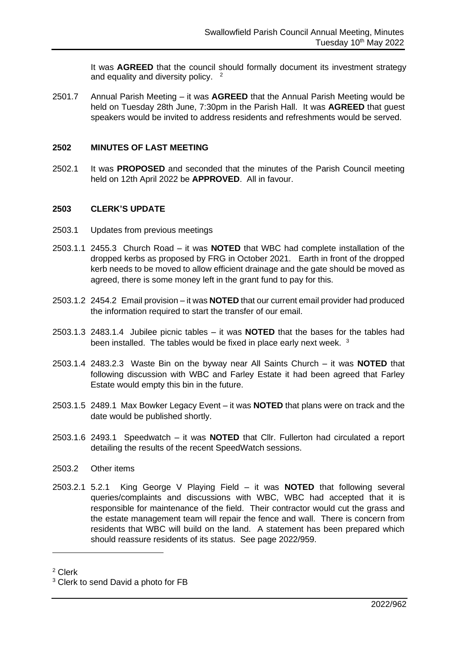It was **AGREED** that the council should formally document its investment strategy and equality and diversity policy. <sup>2</sup>

2501.7 Annual Parish Meeting – it was **AGREED** that the Annual Parish Meeting would be held on Tuesday 28th June, 7:30pm in the Parish Hall. It was **AGREED** that guest speakers would be invited to address residents and refreshments would be served.

### **2502 MINUTES OF LAST MEETING**

2502.1 It was **PROPOSED** and seconded that the minutes of the Parish Council meeting held on 12th April 2022 be **APPROVED**. All in favour.

### **2503 CLERK'S UPDATE**

- 2503.1 Updates from previous meetings
- 2503.1.1 2455.3 Church Road it was **NOTED** that WBC had complete installation of the dropped kerbs as proposed by FRG in October 2021. Earth in front of the dropped kerb needs to be moved to allow efficient drainage and the gate should be moved as agreed, there is some money left in the grant fund to pay for this.
- 2503.1.2 2454.2 Email provision it was **NOTED** that our current email provider had produced the information required to start the transfer of our email.
- 2503.1.3 2483.1.4 Jubilee picnic tables it was **NOTED** that the bases for the tables had been installed. The tables would be fixed in place early next week. <sup>3</sup>
- 2503.1.4 2483.2.3 Waste Bin on the byway near All Saints Church it was **NOTED** that following discussion with WBC and Farley Estate it had been agreed that Farley Estate would empty this bin in the future.
- 2503.1.5 2489.1 Max Bowker Legacy Event it was **NOTED** that plans were on track and the date would be published shortly.
- 2503.1.6 2493.1 Speedwatch it was **NOTED** that Cllr. Fullerton had circulated a report detailing the results of the recent SpeedWatch sessions.
- 2503.2 Other items
- 2503.2.1 5.2.1 King George V Playing Field it was **NOTED** that following several queries/complaints and discussions with WBC, WBC had accepted that it is responsible for maintenance of the field. Their contractor would cut the grass and the estate management team will repair the fence and wall. There is concern from residents that WBC will build on the land. A statement has been prepared which should reassure residents of its status. See page 2022/959.

<sup>2</sup> Clerk

<sup>&</sup>lt;sup>3</sup> Clerk to send David a photo for FB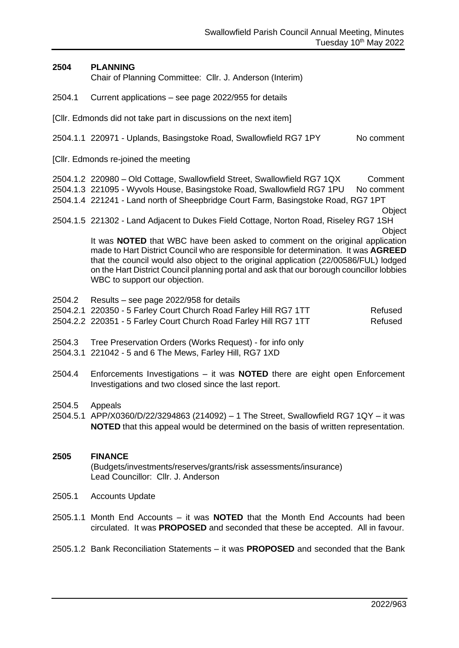## **2504 PLANNING**

Chair of Planning Committee: Cllr. J. Anderson (Interim)

2504.1 Current applications – see page 2022/955 for details

[Cllr. Edmonds did not take part in discussions on the next item]

2504.1.1 220971 - Uplands, Basingstoke Road, Swallowfield RG7 1PY No comment

[Cllr. Edmonds re-joined the meeting

2504.1.2 220980 – Old Cottage, Swallowfield Street, Swallowfield RG7 1QX Comment 2504.1.3 221095 - Wyvols House, Basingstoke Road, Swallowfield RG7 1PU No comment

- 2504.1.4 221241 Land north of Sheepbridge Court Farm, Basingstoke Road, RG7 1PT
	- **Object**
- 2504.1.5 221302 Land Adjacent to Dukes Field Cottage, Norton Road, Riseley RG7 1SH

It was **NOTED** that WBC have been asked to comment on the original application made to Hart District Council who are responsible for determination. It was **AGREED** that the council would also object to the original application (22/00586/FUL) lodged on the Hart District Council planning portal and ask that our borough councillor lobbies WBC to support our objection.

- 2504.2 Results see page 2022/958 for details
- 2504.2.1 220350 5 Farley Court Church Road Farley Hill RG7 1TT Refused
- 2504.2.2 220351 5 Farley Court Church Road Farley Hill RG7 1TT Refused
- 2504.3 Tree Preservation Orders (Works Request) for info only
- 2504.3.1 221042 5 and 6 The Mews, Farley Hill, RG7 1XD
- 2504.4 Enforcements Investigations it was **NOTED** there are eight open Enforcement Investigations and two closed since the last report.
- 2504.5 Appeals
- 2504.5.1 APP/X0360/D/22/3294863 (214092) 1 The Street, Swallowfield RG7 1QY it was **NOTED** that this appeal would be determined on the basis of written representation.

## **2505 FINANCE** (Budgets/investments/reserves/grants/risk assessments/insurance) Lead Councillor: Cllr. J. Anderson

- 2505.1 Accounts Update
- 2505.1.1 Month End Accounts it was **NOTED** that the Month End Accounts had been circulated. It was **PROPOSED** and seconded that these be accepted. All in favour.
- 2505.1.2 Bank Reconciliation Statements it was **PROPOSED** and seconded that the Bank

**Object**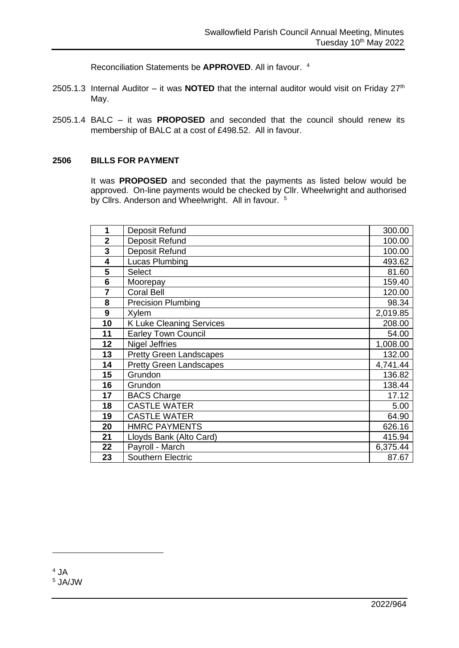Reconciliation Statements be **APPROVED**. All in favour. 4

- 2505.1.3 Internal Auditor it was **NOTED** that the internal auditor would visit on Friday  $27<sup>th</sup>$ May.
- 2505.1.4 BALC it was **PROPOSED** and seconded that the council should renew its membership of BALC at a cost of £498.52. All in favour.

### **BILLS FOR PAYMENT**

It was **PROPOSED** and seconded that the payments as listed below would be approved. On-line payments would be checked by Cllr. Wheelwright and authorised by Cllrs. Anderson and Wheelwright. All in favour. <sup>5</sup>

| 1              | Deposit Refund                  | 300.00   |
|----------------|---------------------------------|----------|
| $\overline{2}$ | Deposit Refund                  | 100.00   |
| 3              | Deposit Refund                  | 100.00   |
| 4              | Lucas Plumbing                  | 493.62   |
| 5              | <b>Select</b>                   | 81.60    |
| 6              | Moorepay                        | 159.40   |
| 7              | <b>Coral Bell</b>               | 120.00   |
| 8              | <b>Precision Plumbing</b>       | 98.34    |
| 9              | Xylem                           | 2,019.85 |
| 10             | <b>K Luke Cleaning Services</b> | 208.00   |
| 11             | <b>Earley Town Council</b>      | 54.00    |
| 12             | <b>Nigel Jeffries</b>           | 1,008.00 |
| 13             | <b>Pretty Green Landscapes</b>  | 132.00   |
| 14             | <b>Pretty Green Landscapes</b>  | 4,741.44 |
| 15             | Grundon                         | 136.82   |
| 16             | Grundon                         | 138.44   |
| 17             | <b>BACS Charge</b>              | 17.12    |
| 18             | <b>CASTLE WATER</b>             | 5.00     |
| 19             | <b>CASTLE WATER</b>             | 64.90    |
| 20             | <b>HMRC PAYMENTS</b>            | 626.16   |
| 21             | Lloyds Bank (Alto Card)         | 415.94   |
| 22             | Payroll - March                 | 6,375.44 |
| 23             | <b>Southern Electric</b>        | 87.67    |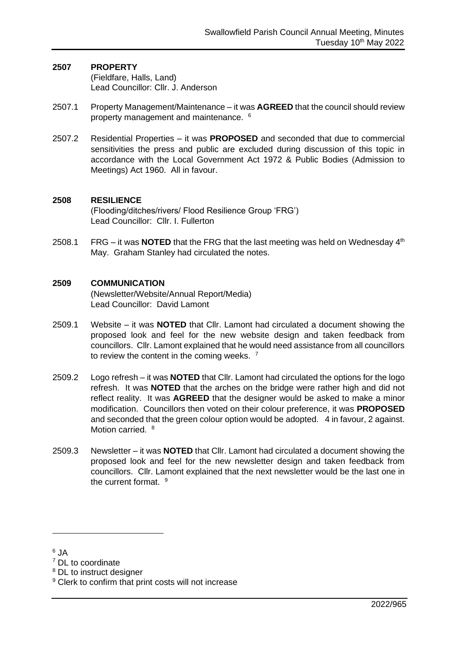#### **2507 PROPERTY** (Fieldfare, Halls, Land) Lead Councillor: Cllr. J. Anderson

- 2507.1 Property Management/Maintenance it was **AGREED** that the council should review property management and maintenance. <sup>6</sup>
- 2507.2 Residential Properties it was **PROPOSED** and seconded that due to commercial sensitivities the press and public are excluded during discussion of this topic in accordance with the Local Government Act 1972 & Public Bodies (Admission to Meetings) Act 1960. All in favour.

### **2508 RESILIENCE**

(Flooding/ditches/rivers/ Flood Resilience Group 'FRG') Lead Councillor: Cllr. I. Fullerton

2508.1 FRG – it was **NOTED** that the FRG that the last meeting was held on Wednesday 4<sup>th</sup> May. Graham Stanley had circulated the notes.

### **2509 COMMUNICATION**

(Newsletter/Website/Annual Report/Media) Lead Councillor: David Lamont

- 2509.1 Website it was **NOTED** that Cllr. Lamont had circulated a document showing the proposed look and feel for the new website design and taken feedback from councillors. Cllr. Lamont explained that he would need assistance from all councillors to review the content in the coming weeks.  $<sup>7</sup>$ </sup>
- 2509.2 Logo refresh it was **NOTED** that Cllr. Lamont had circulated the options for the logo refresh. It was **NOTED** that the arches on the bridge were rather high and did not reflect reality. It was **AGREED** that the designer would be asked to make a minor modification. Councillors then voted on their colour preference, it was **PROPOSED** and seconded that the green colour option would be adopted. 4 in favour, 2 against. Motion carried. <sup>8</sup>
- 2509.3 Newsletter it was **NOTED** that Cllr. Lamont had circulated a document showing the proposed look and feel for the new newsletter design and taken feedback from councillors. Cllr. Lamont explained that the next newsletter would be the last one in the current format. <sup>9</sup>
- <sup>6</sup> JA

<sup>8</sup> DL to instruct designer

<sup>&</sup>lt;sup>7</sup> DL to coordinate

<sup>&</sup>lt;sup>9</sup> Clerk to confirm that print costs will not increase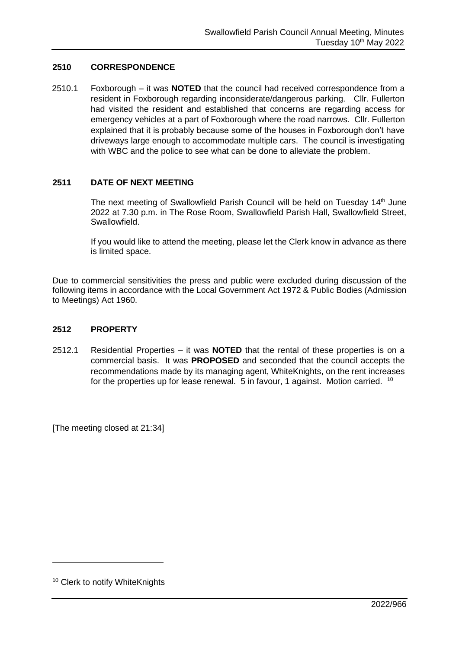## **2510 CORRESPONDENCE**

2510.1 Foxborough – it was **NOTED** that the council had received correspondence from a resident in Foxborough regarding inconsiderate/dangerous parking. Cllr. Fullerton had visited the resident and established that concerns are regarding access for emergency vehicles at a part of Foxborough where the road narrows. Cllr. Fullerton explained that it is probably because some of the houses in Foxborough don't have driveways large enough to accommodate multiple cars. The council is investigating with WBC and the police to see what can be done to alleviate the problem.

### **2511 DATE OF NEXT MEETING**

The next meeting of Swallowfield Parish Council will be held on Tuesday 14<sup>th</sup> June 2022 at 7.30 p.m. in The Rose Room, Swallowfield Parish Hall, Swallowfield Street, Swallowfield.

If you would like to attend the meeting, please let the Clerk know in advance as there is limited space.

Due to commercial sensitivities the press and public were excluded during discussion of the following items in accordance with the Local Government Act 1972 & Public Bodies (Admission to Meetings) Act 1960.

#### **2512 PROPERTY**

2512.1 Residential Properties – it was **NOTED** that the rental of these properties is on a commercial basis. It was **PROPOSED** and seconded that the council accepts the recommendations made by its managing agent, WhiteKnights, on the rent increases for the properties up for lease renewal. 5 in favour, 1 against. Motion carried. <sup>10</sup>

[The meeting closed at 21:34]

<sup>&</sup>lt;sup>10</sup> Clerk to notify WhiteKnights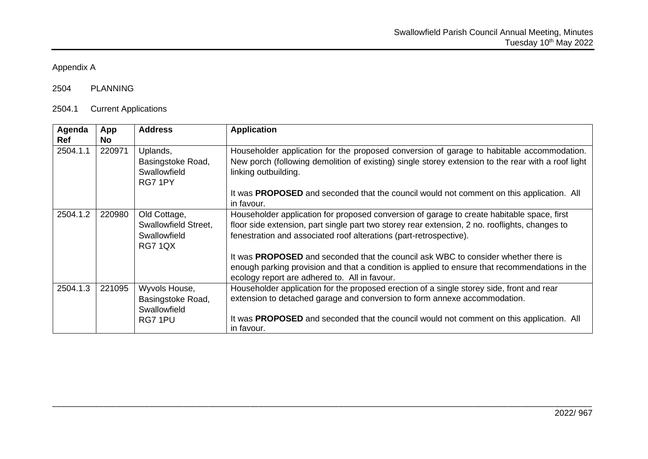# Appendix A

# 2504 PLANNING

# 2504.1 Current Applications

| Agenda<br>Ref | App<br><b>No</b> | <b>Address</b>                                                         | <b>Application</b>                                                                                                                                                                                                                                                 |
|---------------|------------------|------------------------------------------------------------------------|--------------------------------------------------------------------------------------------------------------------------------------------------------------------------------------------------------------------------------------------------------------------|
| 2504.1.1      | 220971           | Uplands,<br>Basingstoke Road,<br>Swallowfield<br>RG7 1PY               | Householder application for the proposed conversion of garage to habitable accommodation.<br>New porch (following demolition of existing) single storey extension to the rear with a roof light<br>linking outbuilding.                                            |
|               |                  |                                                                        | It was <b>PROPOSED</b> and seconded that the council would not comment on this application. All<br>in favour.                                                                                                                                                      |
| 2504.1.2      | 220980           | Old Cottage,<br>Swallowfield Street,<br>Swallowfield<br><b>RG7 1QX</b> | Householder application for proposed conversion of garage to create habitable space, first<br>floor side extension, part single part two storey rear extension, 2 no. rooflights, changes to<br>fenestration and associated roof alterations (part-retrospective). |
|               |                  |                                                                        | It was PROPOSED and seconded that the council ask WBC to consider whether there is<br>enough parking provision and that a condition is applied to ensure that recommendations in the<br>ecology report are adhered to. All in favour.                              |
| 2504.1.3      | 221095           | Wyvols House,<br>Basingstoke Road,<br>Swallowfield                     | Householder application for the proposed erection of a single storey side, front and rear<br>extension to detached garage and conversion to form annexe accommodation.                                                                                             |
|               |                  | RG7 1PU                                                                | It was <b>PROPOSED</b> and seconded that the council would not comment on this application. All<br>in favour.                                                                                                                                                      |

\_\_\_\_\_\_\_\_\_\_\_\_\_\_\_\_\_\_\_\_\_\_\_\_\_\_\_\_\_\_\_\_\_\_\_\_\_\_\_\_\_\_\_\_\_\_\_\_\_\_\_\_\_\_\_\_\_\_\_\_\_\_\_\_\_\_\_\_\_\_\_\_\_\_\_\_\_\_\_\_\_\_\_\_\_\_\_\_\_\_\_\_\_\_\_\_\_\_\_\_\_\_\_\_\_\_\_\_\_\_\_\_\_\_\_\_\_\_\_\_\_\_\_\_\_\_\_\_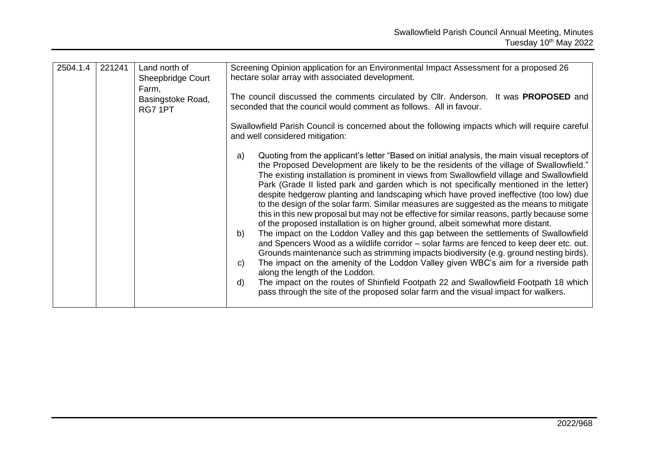| 2504.1.4 | 221241 | Land north of<br>Sheepbridge Court<br>Farm, | Screening Opinion application for an Environmental Impact Assessment for a proposed 26<br>hectare solar array with associated development.                                                                                                                                                                                                                                                                                                                                                                                                                                                                                                                                                                                                                                                                                                                                                                                                                                                                                                                                                                                                                                                                                                                                                                                                                                          |
|----------|--------|---------------------------------------------|-------------------------------------------------------------------------------------------------------------------------------------------------------------------------------------------------------------------------------------------------------------------------------------------------------------------------------------------------------------------------------------------------------------------------------------------------------------------------------------------------------------------------------------------------------------------------------------------------------------------------------------------------------------------------------------------------------------------------------------------------------------------------------------------------------------------------------------------------------------------------------------------------------------------------------------------------------------------------------------------------------------------------------------------------------------------------------------------------------------------------------------------------------------------------------------------------------------------------------------------------------------------------------------------------------------------------------------------------------------------------------------|
|          |        | Basingstoke Road,<br>RG7 1PT                | The council discussed the comments circulated by Cllr. Anderson. It was <b>PROPOSED</b> and<br>seconded that the council would comment as follows. All in favour.                                                                                                                                                                                                                                                                                                                                                                                                                                                                                                                                                                                                                                                                                                                                                                                                                                                                                                                                                                                                                                                                                                                                                                                                                   |
|          |        |                                             | Swallowfield Parish Council is concerned about the following impacts which will require careful<br>and well considered mitigation:                                                                                                                                                                                                                                                                                                                                                                                                                                                                                                                                                                                                                                                                                                                                                                                                                                                                                                                                                                                                                                                                                                                                                                                                                                                  |
|          |        |                                             | Quoting from the applicant's letter "Based on initial analysis, the main visual receptors of<br>a)<br>the Proposed Development are likely to be the residents of the village of Swallowfield."<br>The existing installation is prominent in views from Swallowfield village and Swallowfield<br>Park (Grade II listed park and garden which is not specifically mentioned in the letter)<br>despite hedgerow planting and landscaping which have proved ineffective (too low) due<br>to the design of the solar farm. Similar measures are suggested as the means to mitigate<br>this in this new proposal but may not be effective for similar reasons, partly because some<br>of the proposed installation is on higher ground, albeit somewhat more distant.<br>The impact on the Loddon Valley and this gap between the settlements of Swallowfield<br>b)<br>and Spencers Wood as a wildlife corridor - solar farms are fenced to keep deer etc. out.<br>Grounds maintenance such as strimming impacts biodiversity (e.g. ground nesting birds).<br>The impact on the amenity of the Loddon Valley given WBC's aim for a riverside path<br>$\mathsf{C}$<br>along the length of the Loddon.<br>The impact on the routes of Shinfield Footpath 22 and Swallowfield Footpath 18 which<br>d)<br>pass through the site of the proposed solar farm and the visual impact for walkers. |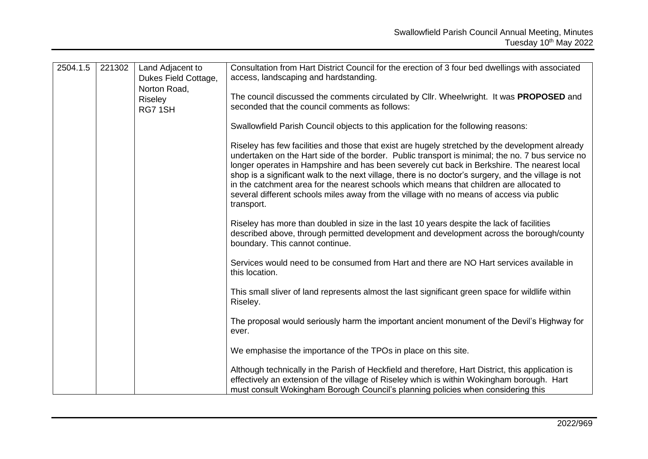| 2504.1.5<br>221302<br>Riseley | Land Adjacent to<br>Dukes Field Cottage, | Consultation from Hart District Council for the erection of 3 four bed dwellings with associated<br>access, landscaping and hardstanding. |                                                                                                                                                                                                                                                                                                                                                                                                                                                                                                                                                                                                                  |
|-------------------------------|------------------------------------------|-------------------------------------------------------------------------------------------------------------------------------------------|------------------------------------------------------------------------------------------------------------------------------------------------------------------------------------------------------------------------------------------------------------------------------------------------------------------------------------------------------------------------------------------------------------------------------------------------------------------------------------------------------------------------------------------------------------------------------------------------------------------|
|                               | Norton Road,<br>RG71SH                   | The council discussed the comments circulated by Cllr. Wheelwright. It was PROPOSED and<br>seconded that the council comments as follows: |                                                                                                                                                                                                                                                                                                                                                                                                                                                                                                                                                                                                                  |
|                               |                                          |                                                                                                                                           | Swallowfield Parish Council objects to this application for the following reasons:                                                                                                                                                                                                                                                                                                                                                                                                                                                                                                                               |
|                               |                                          |                                                                                                                                           | Riseley has few facilities and those that exist are hugely stretched by the development already<br>undertaken on the Hart side of the border. Public transport is minimal; the no. 7 bus service no<br>longer operates in Hampshire and has been severely cut back in Berkshire. The nearest local<br>shop is a significant walk to the next village, there is no doctor's surgery, and the village is not<br>in the catchment area for the nearest schools which means that children are allocated to<br>several different schools miles away from the village with no means of access via public<br>transport. |
|                               |                                          |                                                                                                                                           | Riseley has more than doubled in size in the last 10 years despite the lack of facilities<br>described above, through permitted development and development across the borough/county<br>boundary. This cannot continue.                                                                                                                                                                                                                                                                                                                                                                                         |
|                               |                                          |                                                                                                                                           | Services would need to be consumed from Hart and there are NO Hart services available in<br>this location.                                                                                                                                                                                                                                                                                                                                                                                                                                                                                                       |
|                               |                                          |                                                                                                                                           | This small sliver of land represents almost the last significant green space for wildlife within<br>Riseley.                                                                                                                                                                                                                                                                                                                                                                                                                                                                                                     |
|                               |                                          |                                                                                                                                           | The proposal would seriously harm the important ancient monument of the Devil's Highway for<br>ever.                                                                                                                                                                                                                                                                                                                                                                                                                                                                                                             |
|                               |                                          |                                                                                                                                           | We emphasise the importance of the TPOs in place on this site.                                                                                                                                                                                                                                                                                                                                                                                                                                                                                                                                                   |
|                               |                                          |                                                                                                                                           | Although technically in the Parish of Heckfield and therefore, Hart District, this application is<br>effectively an extension of the village of Riseley which is within Wokingham borough. Hart<br>must consult Wokingham Borough Council's planning policies when considering this                                                                                                                                                                                                                                                                                                                              |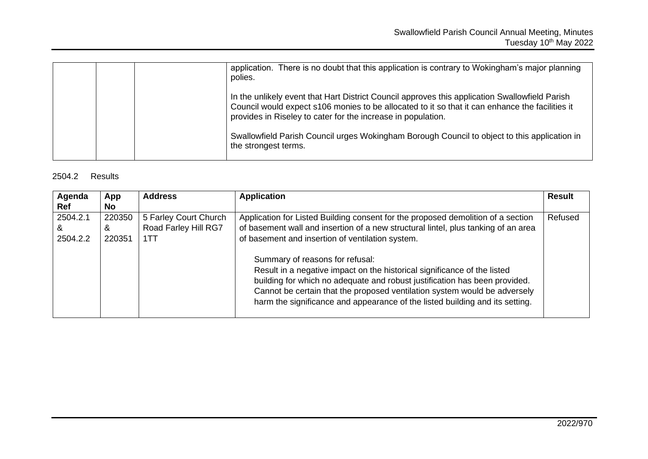|  | application. There is no doubt that this application is contrary to Wokingham's major planning<br>polies.                                                                                                                                                         |
|--|-------------------------------------------------------------------------------------------------------------------------------------------------------------------------------------------------------------------------------------------------------------------|
|  | In the unlikely event that Hart District Council approves this application Swallowfield Parish<br>Council would expect s106 monies to be allocated to it so that it can enhance the facilities it<br>provides in Riseley to cater for the increase in population. |
|  | Swallowfield Parish Council urges Wokingham Borough Council to object to this application in<br>the strongest terms.                                                                                                                                              |

# 2504.2 Results

| Agenda<br><b>Ref</b>      | App<br>No.            | <b>Address</b>                                       | <b>Application</b>                                                                                                                                                                                                                                                                                                                                     | <b>Result</b> |
|---------------------------|-----------------------|------------------------------------------------------|--------------------------------------------------------------------------------------------------------------------------------------------------------------------------------------------------------------------------------------------------------------------------------------------------------------------------------------------------------|---------------|
| 2504.2.1<br>&<br>2504.2.2 | 220350<br>&<br>220351 | 5 Farley Court Church<br>Road Farley Hill RG7<br>1TT | Application for Listed Building consent for the proposed demolition of a section<br>of basement wall and insertion of a new structural lintel, plus tanking of an area<br>of basement and insertion of ventilation system.                                                                                                                             | Refused       |
|                           |                       |                                                      | Summary of reasons for refusal:<br>Result in a negative impact on the historical significance of the listed<br>building for which no adequate and robust justification has been provided.<br>Cannot be certain that the proposed ventilation system would be adversely<br>harm the significance and appearance of the listed building and its setting. |               |